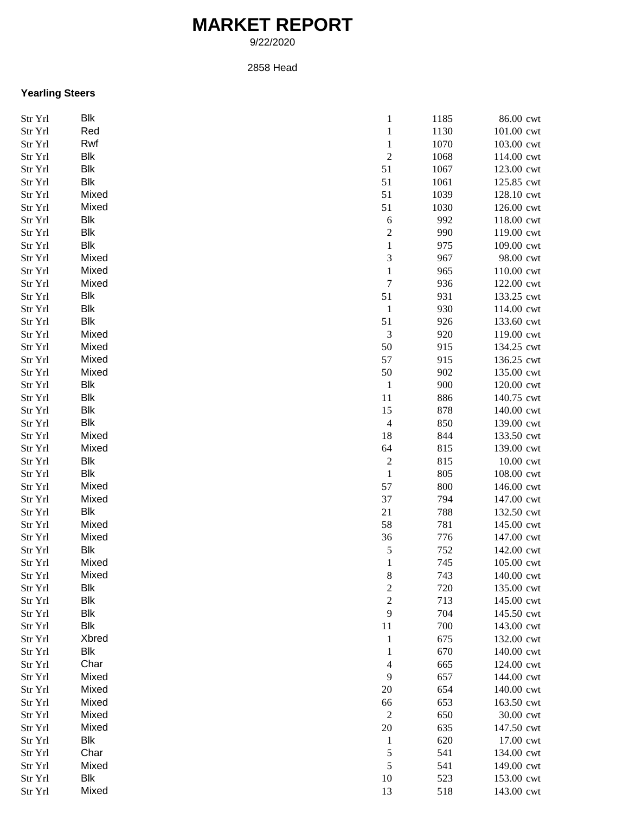## **MARKET REPORT**

9/22/2020

2858 Head

## **Yearling Steers**

| Str Yrl | Blk        | $\mathbf{1}$     | 1185 | 86.00 cwt  |
|---------|------------|------------------|------|------------|
| Str Yrl | Red        | $\mathbf{1}$     | 1130 | 101.00 cwt |
| Str Yrl | Rwf        | $\mathbf{1}$     | 1070 | 103.00 cwt |
| Str Yrl | <b>Blk</b> | $\overline{2}$   | 1068 | 114.00 cwt |
| Str Yrl | <b>Blk</b> | 51               | 1067 | 123.00 cwt |
| Str Yrl | <b>Blk</b> | 51               | 1061 | 125.85 cwt |
| Str Yrl | Mixed      | 51               | 1039 | 128.10 cwt |
| Str Yrl | Mixed      | 51               | 1030 | 126.00 cwt |
| Str Yrl | Blk        | 6                | 992  | 118.00 cwt |
| Str Yrl | Blk        | $\overline{c}$   | 990  | 119.00 cwt |
| Str Yrl | Blk        | $\mathbf{1}$     | 975  | 109.00 cwt |
| Str Yrl | Mixed      | 3                | 967  | 98.00 cwt  |
| Str Yrl | Mixed      | $\mathbf{1}$     | 965  | 110.00 cwt |
|         | Mixed      | $\boldsymbol{7}$ | 936  |            |
| Str Yrl |            |                  |      | 122.00 cwt |
| Str Yrl | Blk        | 51               | 931  | 133.25 cwt |
| Str Yrl | Blk        | $\mathbf{1}$     | 930  | 114.00 cwt |
| Str Yrl | Blk        | 51               | 926  | 133.60 cwt |
| Str Yrl | Mixed      | 3                | 920  | 119.00 cwt |
| Str Yrl | Mixed      | 50               | 915  | 134.25 cwt |
| Str Yrl | Mixed      | 57               | 915  | 136.25 cwt |
| Str Yrl | Mixed      | 50               | 902  | 135.00 cwt |
| Str Yrl | <b>Blk</b> | $\mathbf{1}$     | 900  | 120.00 cwt |
| Str Yrl | <b>Blk</b> | 11               | 886  | 140.75 cwt |
| Str Yrl | Blk        | 15               | 878  | 140.00 cwt |
| Str Yrl | Blk        | 4                | 850  | 139.00 cwt |
| Str Yrl | Mixed      | 18               | 844  | 133.50 cwt |
| Str Yrl | Mixed      | 64               | 815  | 139.00 cwt |
| Str Yrl | Blk        | $\boldsymbol{2}$ | 815  | 10.00 cwt  |
| Str Yrl | Blk        | $\,1$            | 805  | 108.00 cwt |
| Str Yrl | Mixed      | 57               | 800  | 146.00 cwt |
| Str Yrl | Mixed      | 37               | 794  | 147.00 cwt |
| Str Yrl | Blk        | 21               | 788  | 132.50 cwt |
| Str Yrl | Mixed      | 58               | 781  | 145.00 cwt |
| Str Yrl | Mixed      | 36               | 776  | 147.00 cwt |
| Str Yrl | Blk        | 5                | 752  | 142.00 cwt |
| Str Yrl | Mixed      | $\mathbf{1}$     | 745  | 105.00 cwt |
| Str Yrl | Mixed      | $\,$ 8 $\,$      | 743  | 140.00 cwt |
| Str Yrl | Blk        | $\overline{c}$   | 720  | 135.00 cwt |
| Str Yrl | <b>Blk</b> | $\boldsymbol{2}$ | 713  | 145.00 cwt |
|         | Blk        | 9                | 704  | 145.50 cwt |
| Str Yrl |            |                  |      |            |
| Str Yrl | Blk        | 11               | 700  | 143.00 cwt |
| Str Yrl | Xbred      | 1                | 675  | 132.00 cwt |
| Str Yrl | Blk        | 1                | 670  | 140.00 cwt |
| Str Yrl | Char       | 4                | 665  | 124.00 cwt |
| Str Yrl | Mixed      | 9                | 657  | 144.00 cwt |
| Str Yrl | Mixed      | 20               | 654  | 140.00 cwt |
| Str Yrl | Mixed      | 66               | 653  | 163.50 cwt |
| Str Yrl | Mixed      | $\overline{2}$   | 650  | 30.00 cwt  |
| Str Yrl | Mixed      | $20\,$           | 635  | 147.50 cwt |
| Str Yrl | Blk        | $\mathbf{1}$     | 620  | 17.00 cwt  |
| Str Yrl | Char       | 5                | 541  | 134.00 cwt |
| Str Yrl | Mixed      | 5                | 541  | 149.00 cwt |
| Str Yrl | Blk        | 10               | 523  | 153.00 cwt |
| Str Yrl | Mixed      | 13               | 518  | 143.00 cwt |
|         |            |                  |      |            |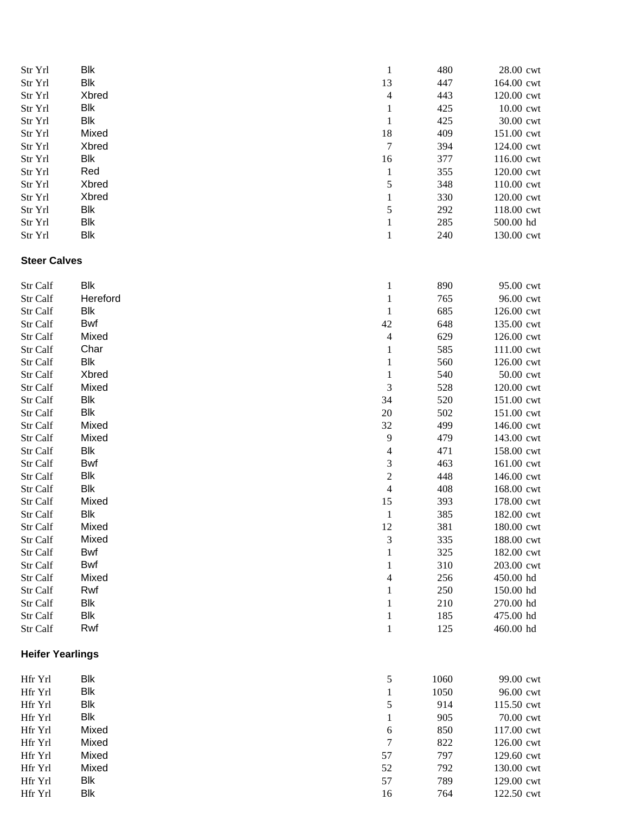| Str Yrl                 | <b>Blk</b>     | $\mathbf{1}$     | 480        | 28.00 cwt                |
|-------------------------|----------------|------------------|------------|--------------------------|
| Str Yrl                 | <b>Blk</b>     | 13               | 447        | 164.00 cwt               |
| Str Yrl                 | Xbred          | $\overline{4}$   | 443        | 120.00 cwt               |
| Str Yrl                 | Blk            | $\mathbf{1}$     | 425        | 10.00 cwt                |
| Str Yrl                 | <b>Blk</b>     | $\mathbf{1}$     | 425        | 30.00 cwt                |
| Str Yrl                 | Mixed          | 18               | 409        | 151.00 cwt               |
| Str Yrl                 | Xbred          | $\boldsymbol{7}$ | 394        | 124.00 cwt               |
| Str Yrl                 | Blk            | 16               | 377        | 116.00 cwt               |
| Str Yrl                 | Red            | $\mathbf{1}$     | 355        | 120.00 cwt               |
| Str Yrl                 | Xbred          | 5                | 348        | 110.00 cwt               |
| Str Yrl                 | Xbred          | $\mathbf{1}$     | 330        | 120.00 cwt               |
| Str Yrl                 | Blk            | 5                | 292        | 118.00 cwt               |
| Str Yrl                 | Blk            | $\mathbf{1}$     | 285        | 500.00 hd                |
| Str Yrl                 | <b>Blk</b>     | $\,1$            | 240        | 130.00 cwt               |
| <b>Steer Calves</b>     |                |                  |            |                          |
| Str Calf                | Blk            | $\mathbf{1}$     | 890        | 95.00 cwt                |
| Str Calf                | Hereford       | $\mathbf{1}$     | 765        | 96.00 cwt                |
| Str Calf                | Blk            | $\mathbf{1}$     | 685        | 126.00 cwt               |
| Str Calf                | Bwf            | 42               | 648        | 135.00 cwt               |
| Str Calf                | Mixed          | 4                | 629        | 126.00 cwt               |
| Str Calf                | Char           | 1                | 585        | 111.00 cwt               |
| Str Calf                | Blk            | 1                | 560        | 126.00 cwt               |
| Str Calf                | Xbred          | $\mathbf{1}$     | 540        | 50.00 cwt                |
| Str Calf                | Mixed          | 3                | 528        | 120.00 cwt               |
| Str Calf                | <b>Blk</b>     | 34               | 520        | 151.00 cwt               |
| Str Calf                | <b>Blk</b>     | $20\,$           | 502        | 151.00 cwt               |
| Str Calf                | Mixed          | 32               | 499        | 146.00 cwt               |
| Str Calf                | Mixed          | 9                | 479        | 143.00 cwt               |
| Str Calf                | <b>Blk</b>     | $\overline{4}$   | 471        | 158.00 cwt               |
| Str Calf                | Bwf            | 3                | 463        | 161.00 cwt               |
| Str Calf                | <b>Blk</b>     | $\overline{c}$   | 448        | 146.00 cwt               |
| Str Calf                | <b>Blk</b>     | $\overline{4}$   | 408        | 168.00 cwt               |
| Str Calf                | Mixed          | 15               | 393        | 178.00 cwt               |
| Str Calf                | Blk            | $\mathbf{1}$     | 385        | 182.00 cwt<br>180.00 cwt |
| Str Calf<br>Str Calf    | Mixed<br>Mixed | 12<br>3          | 381<br>335 | 188.00 cwt               |
| Str Calf                | Bwf            | 1                | 325        | 182.00 cwt               |
| Str Calf                | Bwf            | 1                | 310        | 203.00 cwt               |
| Str Calf                | Mixed          | 4                | 256        | 450.00 hd                |
| Str Calf                | Rwf            | 1                | 250        | 150.00 hd                |
| Str Calf                | <b>Blk</b>     | 1                | 210        | 270.00 hd                |
| Str Calf                | <b>Blk</b>     | $\mathbf{1}$     | 185        | 475.00 hd                |
| Str Calf                | Rwf            | $\mathbf{1}$     | 125        | 460.00 hd                |
| <b>Heifer Yearlings</b> |                |                  |            |                          |
| Hfr Yrl                 | Blk            | 5                | 1060       | 99.00 cwt                |
| Hfr Yrl                 | <b>Blk</b>     | $\mathbf{1}$     | 1050       | 96.00 cwt                |
| Hfr Yrl                 | <b>Blk</b>     | 5                | 914        | 115.50 cwt               |
| Hfr Yrl                 | <b>Blk</b>     | 1                | 905        | 70.00 cwt                |
| Hfr Yrl                 | Mixed          | 6                | 850        | 117.00 cwt               |
| Hfr Yrl                 | Mixed          | 7                | 822        | 126.00 cwt               |
| Hfr Yrl                 | Mixed          | 57               | 797        | 129.60 cwt               |
| Hfr Yrl                 | Mixed          | 52               | 792        | 130.00 cwt               |
| Hfr Yrl                 | Blk            | 57               | 789        | 129.00 cwt               |
| Hfr Yrl                 | <b>Blk</b>     | 16               | 764        | 122.50 cwt               |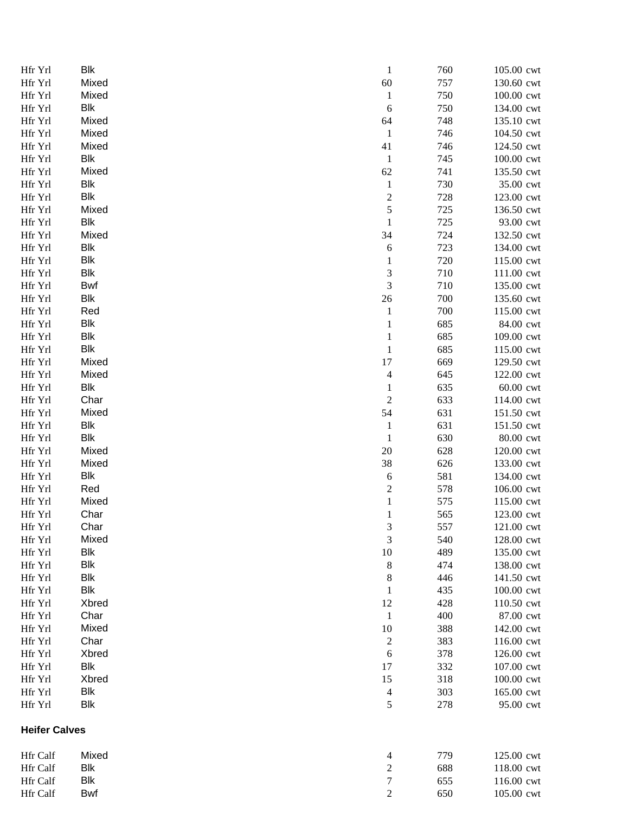| Hfr Yrl              | Blk        | $\mathbf{1}$             | 760 | 105.00 cwt |
|----------------------|------------|--------------------------|-----|------------|
| Hfr Yrl              | Mixed      | 60                       | 757 | 130.60 cwt |
| Hfr Yrl              | Mixed      | $\mathbf{1}$             | 750 | 100.00 cwt |
| Hfr Yrl              | Blk        | $\sqrt{6}$               | 750 | 134.00 cwt |
| Hfr Yrl              | Mixed      | 64                       | 748 | 135.10 cwt |
| Hfr Yrl              | Mixed      | $\mathbf{1}$             | 746 | 104.50 cwt |
| Hfr Yrl              | Mixed      | 41                       | 746 | 124.50 cwt |
| Hfr Yrl              | Blk        | $\mathbf{1}$             | 745 | 100.00 cwt |
| Hfr Yrl              | Mixed      | 62                       | 741 | 135.50 cwt |
| Hfr Yrl              | Blk        | $\mathbf{1}$             | 730 | 35.00 cwt  |
| Hfr Yrl              | Blk        | $\boldsymbol{2}$         | 728 | 123.00 cwt |
| Hfr Yrl              | Mixed      | 5                        | 725 | 136.50 cwt |
| Hfr Yrl              | Blk        | $\mathbf{1}$             | 725 | 93.00 cwt  |
| Hfr Yrl              | Mixed      | 34                       | 724 | 132.50 cwt |
| Hfr Yrl              | Blk        | 6                        | 723 | 134.00 cwt |
| Hfr Yrl              | Blk        | $\mathbf{1}$             | 720 | 115.00 cwt |
| Hfr Yrl              | Blk        | 3                        | 710 | 111.00 cwt |
| Hfr Yrl              | Bwf        | 3                        | 710 | 135.00 cwt |
|                      |            |                          |     |            |
| Hfr Yrl              | Blk        | $26\,$                   | 700 | 135.60 cwt |
| Hfr Yrl              | Red        | $\mathbf{1}$             | 700 | 115.00 cwt |
| Hfr Yrl              | Blk        | 1                        | 685 | 84.00 cwt  |
| Hfr Yrl              | Blk        | 1                        | 685 | 109.00 cwt |
| Hfr Yrl              | Blk        | $\mathbf{1}$             | 685 | 115.00 cwt |
| Hfr Yrl              | Mixed      | 17                       | 669 | 129.50 cwt |
| Hfr Yrl              | Mixed      | $\overline{\mathcal{A}}$ | 645 | 122.00 cwt |
| Hfr Yrl              | Blk        | $\mathbf{1}$             | 635 | 60.00 cwt  |
| Hfr Yrl              | Char       | $\overline{c}$           | 633 | 114.00 cwt |
| Hfr Yrl              | Mixed      | 54                       | 631 | 151.50 cwt |
| Hfr Yrl              | Blk        | $\mathbf{1}$             | 631 | 151.50 cwt |
| Hfr Yrl              | Blk        | $\mathbf{1}$             | 630 | 80.00 cwt  |
| Hfr Yrl              | Mixed      | 20                       | 628 | 120.00 cwt |
| Hfr Yrl              | Mixed      | 38                       | 626 | 133.00 cwt |
| Hfr Yrl              | Blk        | 6                        | 581 | 134.00 cwt |
| Hfr Yrl              | Red        | $\overline{\mathbf{c}}$  | 578 | 106.00 cwt |
| Hfr Yrl              | Mixed      | $\mathbf{1}$             | 575 | 115.00 cwt |
| Hfr Yrl              | Char       | 1                        | 565 | 123.00 cwt |
| Hfr Yrl              | Char       | 3                        | 557 | 121.00 cwt |
| Hfr Yrl              | Mixed      | 3                        | 540 | 128.00 cwt |
| Hfr Yrl              | Blk        | 10                       | 489 | 135.00 cwt |
| Hfr Yrl              | <b>Blk</b> | 8                        | 474 | 138.00 cwt |
| Hfr Yrl              | Blk        | 8                        | 446 | 141.50 cwt |
| Hfr Yrl              | Blk        | 1                        | 435 | 100.00 cwt |
| Hfr Yrl              | Xbred      | 12                       | 428 | 110.50 cwt |
| Hfr Yrl              | Char       | $\mathbf{1}$             | 400 | 87.00 cwt  |
| Hfr Yrl              | Mixed      | 10                       | 388 | 142.00 cwt |
|                      | Char       |                          |     |            |
| Hfr Yrl              |            | $\overline{c}$           | 383 | 116.00 cwt |
| Hfr Yrl              | Xbred      | 6                        | 378 | 126.00 cwt |
| Hfr Yrl              | Blk        | 17                       | 332 | 107.00 cwt |
| Hfr Yrl              | Xbred      | 15                       | 318 | 100.00 cwt |
| Hfr Yrl              | Blk        | $\overline{\mathcal{A}}$ | 303 | 165.00 cwt |
| Hfr Yrl              | <b>Blk</b> | 5                        | 278 | 95.00 cwt  |
| <b>Heifer Calves</b> |            |                          |     |            |
| Hfr Calf             | Mixed      | 4                        | 779 | 125.00 cwt |
| Hfr Calf             | Blk        | $\sqrt{2}$               | 688 | 118.00 cwt |
| Hfr Calf             | <b>Blk</b> | $\boldsymbol{7}$         | 655 | 116.00 cwt |
| Hfr Calf             | <b>Bwf</b> | $\overline{2}$           | 650 | 105.00 cwt |
|                      |            |                          |     |            |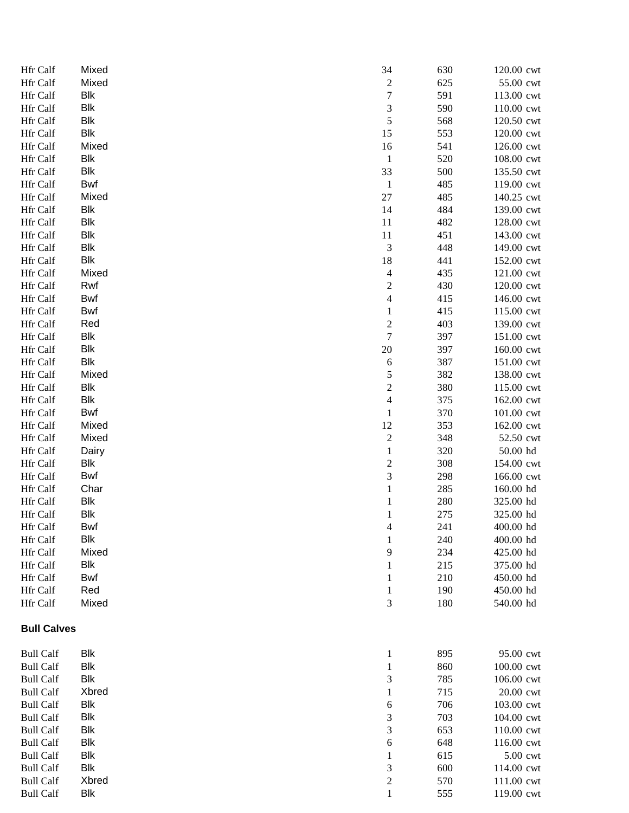| Hfr Calf           | Mixed      | 34                       | 630 | 120.00 cwt |
|--------------------|------------|--------------------------|-----|------------|
| Hfr Calf           | Mixed      | $\overline{\mathbf{c}}$  | 625 | 55.00 cwt  |
| Hfr Calf           | Blk        | $\boldsymbol{7}$         | 591 | 113.00 cwt |
| Hfr Calf           | Blk        | 3                        | 590 | 110.00 cwt |
| Hfr Calf           | <b>Blk</b> | $\sqrt{5}$               | 568 | 120.50 cwt |
| Hfr Calf           | <b>Blk</b> | 15                       | 553 | 120.00 cwt |
| Hfr Calf           | Mixed      | 16                       | 541 | 126.00 cwt |
| Hfr Calf           | Blk        | $\mathbf{1}$             | 520 | 108.00 cwt |
| Hfr Calf           | <b>Blk</b> | 33                       | 500 | 135.50 cwt |
| Hfr Calf           | <b>Bwf</b> | $\mathbf{1}$             | 485 | 119.00 cwt |
| Hfr Calf           | Mixed      | 27                       | 485 | 140.25 cwt |
| Hfr Calf           | Blk        | 14                       | 484 | 139.00 cwt |
| Hfr Calf           | Blk        | 11                       | 482 | 128.00 cwt |
| Hfr Calf           | Blk        | 11                       | 451 | 143.00 cwt |
| Hfr Calf           | Blk        | 3                        | 448 | 149.00 cwt |
| Hfr Calf           | Blk        | 18                       | 441 | 152.00 cwt |
| Hfr Calf           | Mixed      | $\overline{4}$           | 435 | 121.00 cwt |
| Hfr Calf           | Rwf        | $\boldsymbol{2}$         | 430 | 120.00 cwt |
| Hfr Calf           | Bwf        | $\overline{\mathcal{A}}$ | 415 | 146.00 cwt |
| Hfr Calf           | Bwf        | $\mathbf{1}$             | 415 | 115.00 cwt |
| Hfr Calf           | Red        | $\overline{c}$           | 403 | 139.00 cwt |
| Hfr Calf           | Blk        | $\tau$                   | 397 | 151.00 cwt |
| Hfr Calf           | Blk        | $20\,$                   | 397 | 160.00 cwt |
|                    | <b>Blk</b> |                          |     |            |
| Hfr Calf           |            | $\sqrt{6}$               | 387 | 151.00 cwt |
| Hfr Calf           | Mixed      | 5<br>$\overline{c}$      | 382 | 138.00 cwt |
| Hfr Calf           | Blk        |                          | 380 | 115.00 cwt |
| Hfr Calf           | Blk        | $\overline{4}$           | 375 | 162.00 cwt |
| Hfr Calf           | Bwf        | $\mathbf{1}$             | 370 | 101.00 cwt |
| Hfr Calf           | Mixed      | 12                       | 353 | 162.00 cwt |
| Hfr Calf           | Mixed      | $\overline{c}$           | 348 | 52.50 cwt  |
| Hfr Calf           | Dairy      | 1                        | 320 | 50.00 hd   |
| Hfr Calf           | Blk        | $\boldsymbol{2}$         | 308 | 154.00 cwt |
| Hfr Calf           | Bwf        | 3                        | 298 | 166.00 cwt |
| Hfr Calf           | Char       | 1                        | 285 | 160.00 hd  |
| Hfr Calf           | Blk        | 1                        | 280 | 325.00 hd  |
| Hfr Calf           | Blk        | 1                        | 275 | 325.00 hd  |
| Hfr Calf           | Bwf        | $\overline{\mathcal{A}}$ | 241 | 400.00 hd  |
| Hfr Calf           | Blk        | 1                        | 240 | 400.00 hd  |
| Hfr Calf           | Mixed      | 9                        | 234 | 425.00 hd  |
| Hfr Calf           | Blk        | 1                        | 215 | 375.00 hd  |
| Hfr Calf           | Bwf        | 1                        | 210 | 450.00 hd  |
| Hfr Calf           | Red        | 1                        | 190 | 450.00 hd  |
| Hfr Calf           | Mixed      | 3                        | 180 | 540.00 hd  |
| <b>Bull Calves</b> |            |                          |     |            |
| <b>Bull Calf</b>   | Blk        | 1                        | 895 | 95.00 cwt  |
| <b>Bull Calf</b>   | Blk        | 1                        | 860 | 100.00 cwt |
| <b>Bull Calf</b>   | Blk        | 3                        | 785 | 106.00 cwt |
| <b>Bull Calf</b>   | Xbred      | 1                        | 715 | 20.00 cwt  |
| <b>Bull Calf</b>   | Blk        | 6                        | 706 | 103.00 cwt |
| <b>Bull Calf</b>   | Blk        | $\mathfrak{Z}$           | 703 | 104.00 cwt |
| <b>Bull Calf</b>   | Blk        | 3                        | 653 | 110.00 cwt |
| <b>Bull Calf</b>   | Blk        | 6                        | 648 | 116.00 cwt |
| <b>Bull Calf</b>   | Blk        | 1                        | 615 | 5.00 cwt   |
| <b>Bull Calf</b>   | Blk        | 3                        | 600 | 114.00 cwt |
| <b>Bull Calf</b>   | Xbred      | $\overline{c}$           | 570 | 111.00 cwt |
| <b>Bull Calf</b>   | Blk        | 1                        | 555 | 119.00 cwt |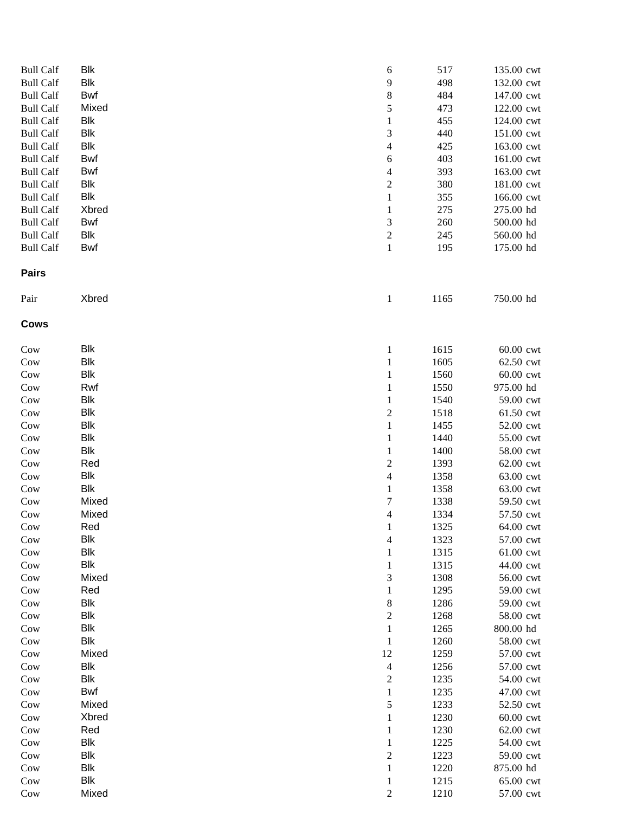| <b>Bull Calf</b> | Blk        | 6                        | 517  | 135.00 cwt |
|------------------|------------|--------------------------|------|------------|
| <b>Bull Calf</b> | Blk        | 9                        | 498  | 132.00 cwt |
| <b>Bull Calf</b> | Bwf        | $\,$ 8 $\,$              | 484  | 147.00 cwt |
| <b>Bull Calf</b> | Mixed      | 5                        | 473  | 122.00 cwt |
| <b>Bull Calf</b> | Blk        | $\mathbf{1}$             | 455  | 124.00 cwt |
| <b>Bull Calf</b> | Blk        | 3                        | 440  | 151.00 cwt |
| <b>Bull Calf</b> | Blk        | 4                        | 425  | 163.00 cwt |
| <b>Bull Calf</b> | Bwf        | 6                        | 403  | 161.00 cwt |
| <b>Bull Calf</b> | Bwf        | 4                        | 393  | 163.00 cwt |
| <b>Bull Calf</b> | Blk        | $\overline{c}$           | 380  | 181.00 cwt |
| <b>Bull Calf</b> | Blk        | $\mathbf{1}$             | 355  | 166.00 cwt |
| <b>Bull Calf</b> | Xbred      | 1                        | 275  | 275.00 hd  |
| <b>Bull Calf</b> | Bwf        | 3                        | 260  | 500.00 hd  |
| <b>Bull Calf</b> | Blk        | $\overline{c}$           | 245  | 560.00 hd  |
| <b>Bull Calf</b> | <b>Bwf</b> | $\,1$                    | 195  | 175.00 hd  |
| <b>Pairs</b>     |            |                          |      |            |
| Pair             | Xbred      | $\mathbf{1}$             | 1165 | 750.00 hd  |
| Cows             |            |                          |      |            |
| Cow              | Blk        | $\mathbf{1}$             | 1615 | 60.00 cwt  |
| Cow              | Blk        | $\mathbf{1}$             | 1605 | 62.50 cwt  |
| Cow              | Blk        | 1                        | 1560 | 60.00 cwt  |
| Cow              | Rwf        | 1                        | 1550 | 975.00 hd  |
| Cow              | Blk        | $\mathbf{1}$             | 1540 | 59.00 cwt  |
| Cow              | Blk        | $\overline{\mathbf{c}}$  | 1518 | 61.50 cwt  |
| Cow              | <b>Blk</b> | $\mathbf{1}$             | 1455 | 52.00 cwt  |
| Cow              | Blk        | $\mathbf{1}$             | 1440 | 55.00 cwt  |
| Cow              | Blk        | $\mathbf{1}$             | 1400 | 58.00 cwt  |
| Cow              | Red        | $\overline{c}$           | 1393 | 62.00 cwt  |
| Cow              | Blk        | $\overline{\mathcal{L}}$ | 1358 | 63.00 cwt  |
| Cow              | Blk        | $\mathbf{1}$             | 1358 | 63.00 cwt  |
| Cow              | Mixed      | $\overline{7}$           | 1338 | 59.50 cwt  |
| Cow              | Mixed      | 4                        | 1334 | 57.50 cwt  |
| Cow              | Red        | 1                        | 1325 | 64.00 cwt  |
| Cow              | Blk        | 4                        | 1323 | 57.00 cwt  |
| Cow              | Blk        | 1                        | 1315 | 61.00 cwt  |
| Cow              | Blk        |                          | 1315 | 44.00 cwt  |
| Cow              | Mixed      | 3                        | 1308 | 56.00 cwt  |
| Cow              | Red        | 1                        | 1295 | 59.00 cwt  |
| Cow              | Blk        | 8                        | 1286 | 59.00 cwt  |
| Cow              | <b>Blk</b> | $\overline{c}$           | 1268 | 58.00 cwt  |
| Cow              | <b>Blk</b> | $\mathbf{1}$             | 1265 | 800.00 hd  |
| Cow              | Blk        | $\mathbf{1}$             | 1260 | 58.00 cwt  |
| Cow              | Mixed      | 12                       | 1259 | 57.00 cwt  |
| Cow              | Blk        | $\overline{\mathbf{4}}$  | 1256 | 57.00 cwt  |
| Cow              | Blk        | $\overline{c}$           | 1235 | 54.00 cwt  |
| Cow              | Bwf        | $\mathbf{1}$             | 1235 | 47.00 cwt  |
| Cow              | Mixed      | 5                        | 1233 | 52.50 cwt  |
| Cow              | Xbred      | 1                        | 1230 | 60.00 cwt  |
| Cow              | Red        | 1                        | 1230 | 62.00 cwt  |
| Cow              | <b>Blk</b> | 1                        | 1225 | 54.00 cwt  |
| Cow              | Blk        | $\overline{c}$           | 1223 | 59.00 cwt  |
| Cow              | Blk        | 1                        | 1220 | 875.00 hd  |
| Cow              | Blk        | 1                        | 1215 | 65.00 cwt  |
| Cow              | Mixed      | $\overline{c}$           | 1210 | 57.00 cwt  |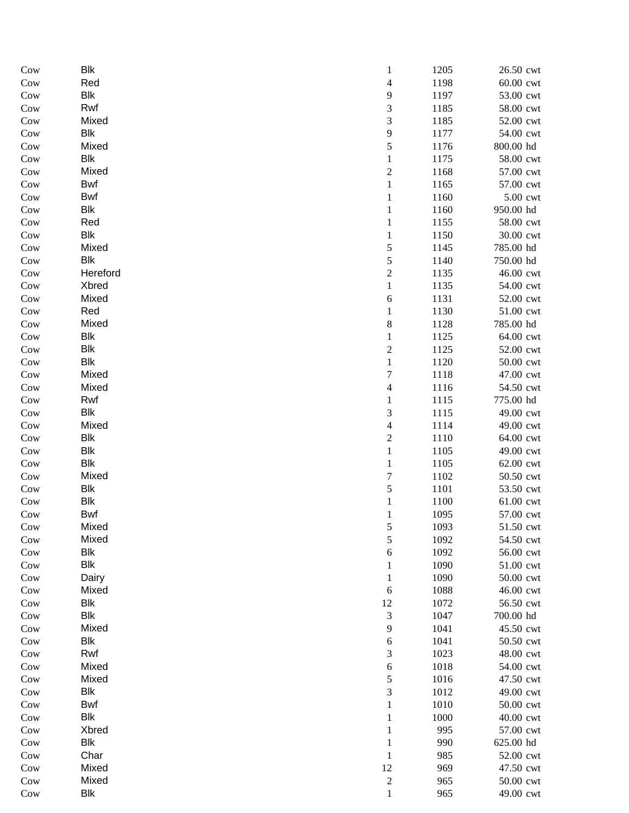| Cow | Blk        | 1                        | 1205 | 26.50 cwt |
|-----|------------|--------------------------|------|-----------|
| Cow | Red        | $\overline{\mathcal{L}}$ | 1198 | 60.00 cwt |
| Cow | Blk        | 9                        | 1197 | 53.00 cwt |
| Cow | Rwf        | 3                        | 1185 | 58.00 cwt |
| Cow | Mixed      | 3                        | 1185 | 52.00 cwt |
| Cow | <b>Blk</b> | $\mathbf{9}$             | 1177 | 54.00 cwt |
| Cow | Mixed      | 5                        | 1176 | 800.00 hd |
| Cow | <b>Blk</b> | $\mathbf{1}$             | 1175 | 58.00 cwt |
| Cow | Mixed      | $\sqrt{2}$               | 1168 | 57.00 cwt |
| Cow | <b>Bwf</b> | $\mathbf{1}$             | 1165 | 57.00 cwt |
| Cow | <b>Bwf</b> | $\mathbf{1}$             | 1160 | 5.00 cwt  |
| Cow | <b>Blk</b> | $\mathbf{1}$             | 1160 | 950.00 hd |
| Cow | Red        | 1                        | 1155 | 58.00 cwt |
| Cow | <b>Blk</b> | $\mathbf{1}$             | 1150 | 30.00 cwt |
| Cow | Mixed      | 5                        | 1145 | 785.00 hd |
| Cow | <b>Blk</b> | 5                        | 1140 | 750.00 hd |
| Cow | Hereford   | $\overline{c}$           | 1135 | 46.00 cwt |
| Cow | Xbred      | $\mathbf{1}$             | 1135 | 54.00 cwt |
| Cow | Mixed      | $\sqrt{6}$               | 1131 | 52.00 cwt |
| Cow | Red        | $\mathbf{1}$             | 1130 | 51.00 cwt |
| Cow | Mixed      | $8\,$                    | 1128 | 785.00 hd |
| Cow | Blk        | $\mathbf{1}$             | 1125 | 64.00 cwt |
| Cow | Blk        | $\overline{c}$           | 1125 | 52.00 cwt |
| Cow | <b>Blk</b> | $\mathbf{1}$             | 1120 | 50.00 cwt |
| Cow | Mixed      | 7                        | 1118 | 47.00 cwt |
| Cow | Mixed      | $\overline{\mathcal{L}}$ | 1116 | 54.50 cwt |
| Cow | Rwf        | $\mathbf{1}$             | 1115 | 775.00 hd |
| Cow | <b>Blk</b> | $\mathfrak{Z}$           | 1115 | 49.00 cwt |
| Cow | Mixed      | $\overline{\mathcal{L}}$ | 1114 | 49.00 cwt |
| Cow | <b>Blk</b> | $\boldsymbol{2}$         | 1110 | 64.00 cwt |
|     | <b>Blk</b> | $\mathbf{1}$             | 1105 | 49.00 cwt |
| Cow | <b>Blk</b> | $\mathbf{1}$             | 1105 | 62.00 cwt |
| Cow |            | $\overline{7}$           |      |           |
| Cow | Mixed      |                          | 1102 | 50.50 cwt |
| Cow | <b>Blk</b> | 5                        | 1101 | 53.50 cwt |
| Cow | Blk        | $\mathbf{1}$             | 1100 | 61.00 cwt |
| Cow | <b>Bwf</b> | 1                        | 1095 | 57.00 cwt |
| Cow | Mixed      | 5                        | 1093 | 51.50 cwt |
| Cow | Mixed      | 5                        | 1092 | 54.50 cwt |
| Cow | <b>Blk</b> | $\sqrt{6}$               | 1092 | 56.00 cwt |
| Cow | <b>Blk</b> | 1                        | 1090 | 51.00 cwt |
| Cow | Dairy      | 1                        | 1090 | 50.00 cwt |
| Cow | Mixed      | $\sqrt{6}$               | 1088 | 46.00 cwt |
| Cow | <b>Blk</b> | 12                       | 1072 | 56.50 cwt |
| Cow | <b>Blk</b> | 3                        | 1047 | 700.00 hd |
| Cow | Mixed      | 9                        | 1041 | 45.50 cwt |
| Cow | <b>Blk</b> | $\sqrt{6}$               | 1041 | 50.50 cwt |
| Cow | Rwf        | 3                        | 1023 | 48.00 cwt |
| Cow | Mixed      | $\sqrt{6}$               | 1018 | 54.00 cwt |
| Cow | Mixed      | 5                        | 1016 | 47.50 cwt |
| Cow | <b>Blk</b> | 3                        | 1012 | 49.00 cwt |
| Cow | Bwf        | 1                        | 1010 | 50.00 cwt |
| Cow | <b>Blk</b> | 1                        | 1000 | 40.00 cwt |
| Cow | Xbred      | 1                        | 995  | 57.00 cwt |
| Cow | <b>Blk</b> | 1                        | 990  | 625.00 hd |
| Cow | Char       | 1                        | 985  | 52.00 cwt |
| Cow | Mixed      | 12                       | 969  | 47.50 cwt |
| Cow | Mixed      | $\sqrt{2}$               | 965  | 50.00 cwt |
| Cow | <b>Blk</b> | $\mathbf{1}$             | 965  | 49.00 cwt |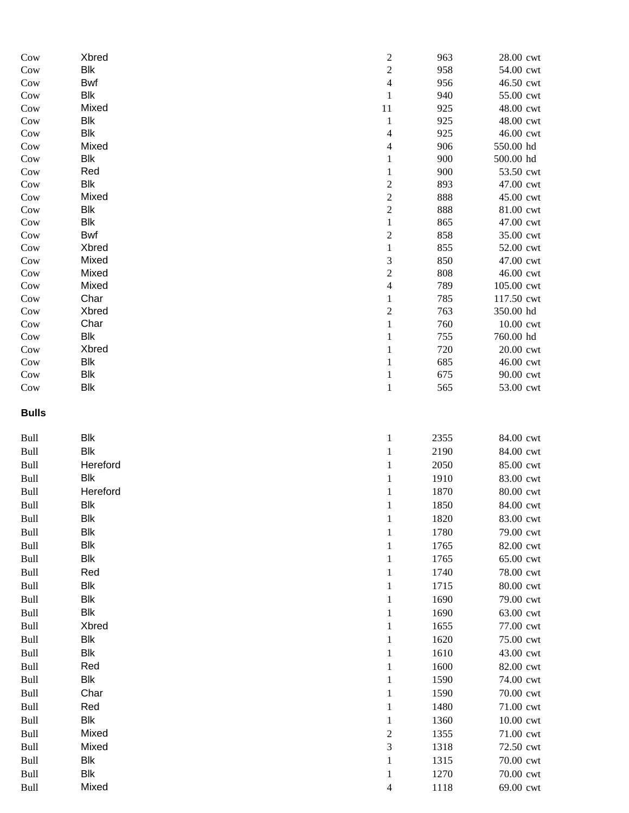| Cow          | Xbred      | $\overline{\mathbf{c}}$ | 963  | 28.00 cwt  |
|--------------|------------|-------------------------|------|------------|
| Cow          | <b>Blk</b> | $\overline{c}$          | 958  | 54.00 cwt  |
| Cow          | Bwf        | $\overline{4}$          | 956  | 46.50 cwt  |
| Cow          | <b>Blk</b> | $\mathbf{1}$            | 940  | 55.00 cwt  |
| Cow          | Mixed      | 11                      | 925  | 48.00 cwt  |
| Cow          | Blk        | $\mathbf{1}$            | 925  | 48.00 cwt  |
| Cow          | <b>Blk</b> | 4                       | 925  | 46.00 cwt  |
| Cow          | Mixed      | 4                       | 906  | 550.00 hd  |
| Cow          | Blk        | $\mathbf{1}$            | 900  | 500.00 hd  |
| Cow          | Red        | $\mathbf{1}$            | 900  | 53.50 cwt  |
| Cow          | <b>Blk</b> | $\overline{\mathbf{c}}$ | 893  | 47.00 cwt  |
| Cow          | Mixed      | $\overline{c}$          | 888  | 45.00 cwt  |
| Cow          | Blk        | $\overline{c}$          | 888  | 81.00 cwt  |
| Cow          | <b>Blk</b> | $\mathbf{1}$            | 865  | 47.00 cwt  |
| Cow          | Bwf        | $\overline{c}$          | 858  | 35.00 cwt  |
| Cow          | Xbred      | $\mathbf{1}$            | 855  | 52.00 cwt  |
| Cow          | Mixed      | 3                       | 850  | 47.00 cwt  |
| Cow          | Mixed      | $\overline{c}$          | 808  | 46.00 cwt  |
| Cow          | Mixed      | $\overline{4}$          | 789  | 105.00 cwt |
| Cow          | Char       | 1                       | 785  | 117.50 cwt |
| Cow          | Xbred      | $\overline{\mathbf{c}}$ | 763  | 350.00 hd  |
| Cow          | Char       | $\mathbf{1}$            | 760  | 10.00 cwt  |
| Cow          | Blk        | 1                       | 755  | 760.00 hd  |
| Cow          | Xbred      |                         | 720  | 20.00 cwt  |
| Cow          | Blk        | 1                       | 685  | 46.00 cwt  |
| Cow          | Blk        | $\mathbf{1}$            | 675  | 90.00 cwt  |
| Cow          | <b>Blk</b> | $\mathbf{1}$            | 565  | 53.00 cwt  |
| <b>Bulls</b> |            |                         |      |            |
|              |            |                         |      |            |
| Bull         | Blk        | $\mathbf{1}$            | 2355 | 84.00 cwt  |
| Bull         | <b>Blk</b> | $\mathbf{1}$            | 2190 | 84.00 cwt  |
| Bull         | Hereford   | 1                       | 2050 | 85.00 cwt  |
| Bull         | <b>Blk</b> | $\mathbf{1}$            | 1910 | 83.00 cwt  |
| Bull         | Hereford   | $\mathbf{1}$            | 1870 | 80.00 cwt  |
| Bull         | <b>Blk</b> | 1                       | 1850 | 84.00 cwt  |
| Bull         | Blk        | $\mathbf{1}$            | 1820 | 83.00 cwt  |
| Bull         | <b>Blk</b> | $\mathbf{1}$            | 1780 | 79.00 cwt  |
| Bull         | Blk        | $\mathbf{1}$            | 1765 | 82.00 cwt  |
| Bull         | <b>Blk</b> | 1                       | 1765 | 65.00 cwt  |
| Bull         | Red        | $\mathbf{1}$            | 1740 | 78.00 cwt  |
| Bull         | Blk        | $\mathbf{1}$            | 1715 | 80.00 cwt  |
| Bull         | <b>Blk</b> | $\mathbf{1}$            | 1690 | 79.00 cwt  |
| Bull         | Blk        | 1                       | 1690 | 63.00 cwt  |
| Bull         | Xbred      | $\mathbf{1}$            | 1655 | 77.00 cwt  |
| Bull         | Blk        | $\mathbf{1}$            | 1620 | 75.00 cwt  |
| Bull         | Blk        | $\mathbf{1}$            | 1610 | 43.00 cwt  |
| Bull         | Red        | $\mathbf{1}$            | 1600 | 82.00 cwt  |
| Bull         | <b>Blk</b> | $\mathbf{1}$            | 1590 | 74.00 cwt  |
| Bull         | Char       | 1                       | 1590 | 70.00 cwt  |
| Bull         | Red        | $\mathbf{1}$            | 1480 | 71.00 cwt  |
| Bull         | Blk        | $\mathbf{1}$            | 1360 | 10.00 cwt  |
| Bull         | Mixed      | $\overline{\mathbf{c}}$ | 1355 | 71.00 cwt  |
| Bull         | Mixed      | 3                       | 1318 | 72.50 cwt  |
| Bull         | Blk        | $\mathbf{1}$            | 1315 | 70.00 cwt  |
| Bull         | Blk        |                         | 1270 | 70.00 cwt  |
|              | Mixed      | $\mathbf{1}$<br>4       | 1118 | 69.00 cwt  |
| Bull         |            |                         |      |            |